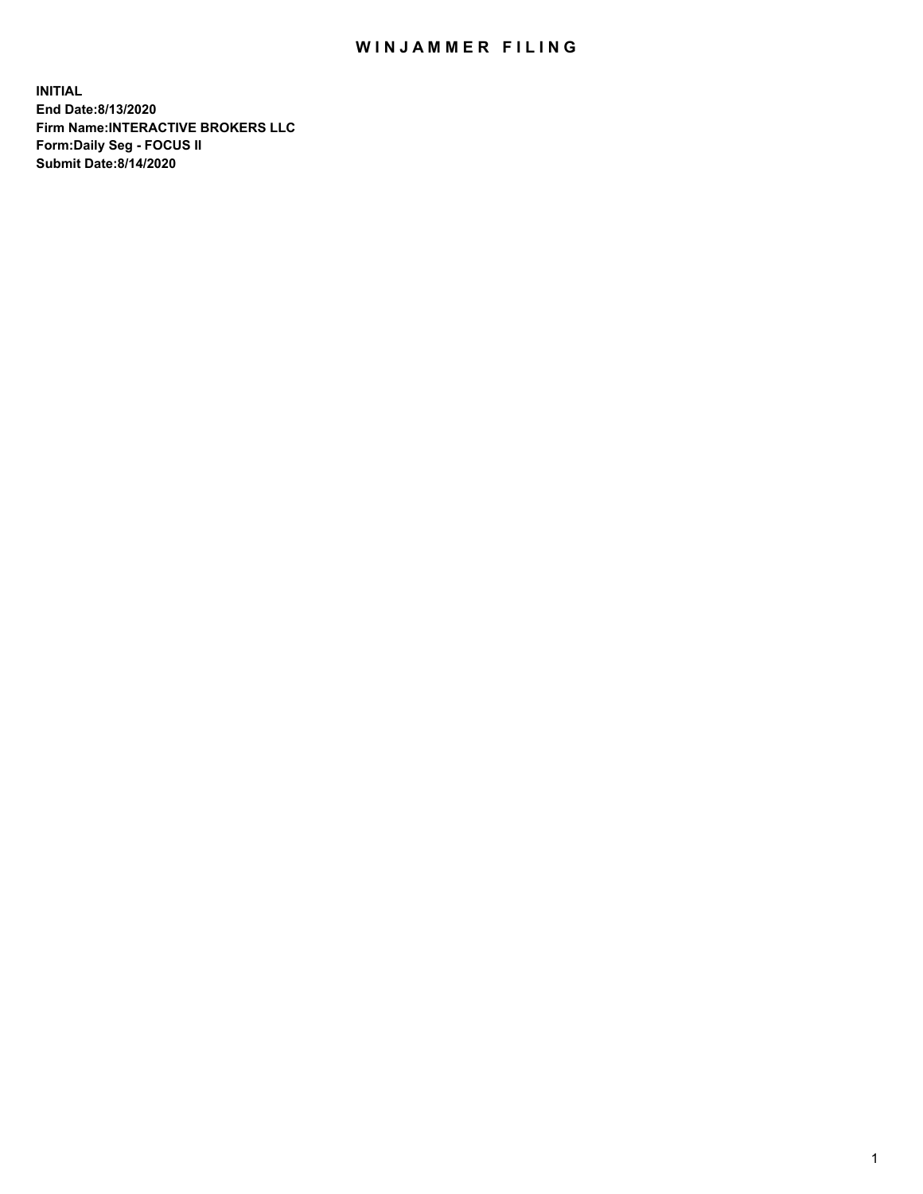## WIN JAMMER FILING

**INITIAL End Date:8/13/2020 Firm Name:INTERACTIVE BROKERS LLC Form:Daily Seg - FOCUS II Submit Date:8/14/2020**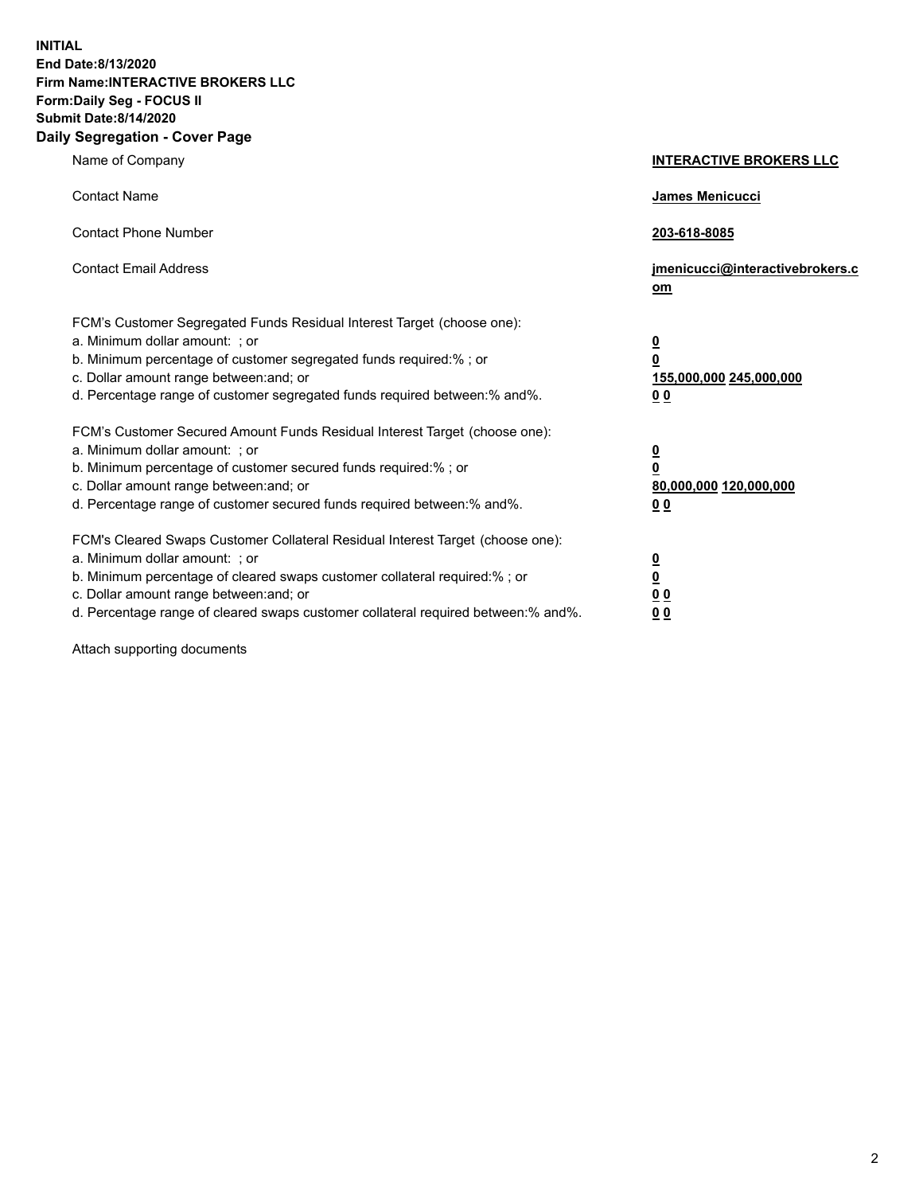**INITIAL End Date:8/13/2020 Firm Name:INTERACTIVE BROKERS LLC Form:Daily Seg - FOCUS II Submit Date:8/14/2020 Daily Segregation - Cover Page**

| Name of Company                                                                                                                                                                                                                                                                                                                | <b>INTERACTIVE BROKERS LLC</b>                                                   |
|--------------------------------------------------------------------------------------------------------------------------------------------------------------------------------------------------------------------------------------------------------------------------------------------------------------------------------|----------------------------------------------------------------------------------|
| <b>Contact Name</b>                                                                                                                                                                                                                                                                                                            | James Menicucci                                                                  |
| <b>Contact Phone Number</b>                                                                                                                                                                                                                                                                                                    | 203-618-8085                                                                     |
| <b>Contact Email Address</b>                                                                                                                                                                                                                                                                                                   | jmenicucci@interactivebrokers.c<br>om                                            |
| FCM's Customer Segregated Funds Residual Interest Target (choose one):<br>a. Minimum dollar amount: ; or<br>b. Minimum percentage of customer segregated funds required:% ; or<br>c. Dollar amount range between: and; or<br>d. Percentage range of customer segregated funds required between:% and%.                         | <u>0</u><br>$\overline{\mathbf{0}}$<br>155,000,000 245,000,000<br>0 <sub>0</sub> |
| FCM's Customer Secured Amount Funds Residual Interest Target (choose one):<br>a. Minimum dollar amount: ; or<br>b. Minimum percentage of customer secured funds required:% ; or<br>c. Dollar amount range between: and; or<br>d. Percentage range of customer secured funds required between:% and%.                           | <u>0</u><br>$\overline{\mathbf{0}}$<br>80,000,000 120,000,000<br>0 <sub>0</sub>  |
| FCM's Cleared Swaps Customer Collateral Residual Interest Target (choose one):<br>a. Minimum dollar amount: ; or<br>b. Minimum percentage of cleared swaps customer collateral required:% ; or<br>c. Dollar amount range between: and; or<br>d. Percentage range of cleared swaps customer collateral required between:% and%. | <u>0</u><br>$\underline{\mathbf{0}}$<br>0 <sub>0</sub><br>0 <sub>0</sub>         |

Attach supporting documents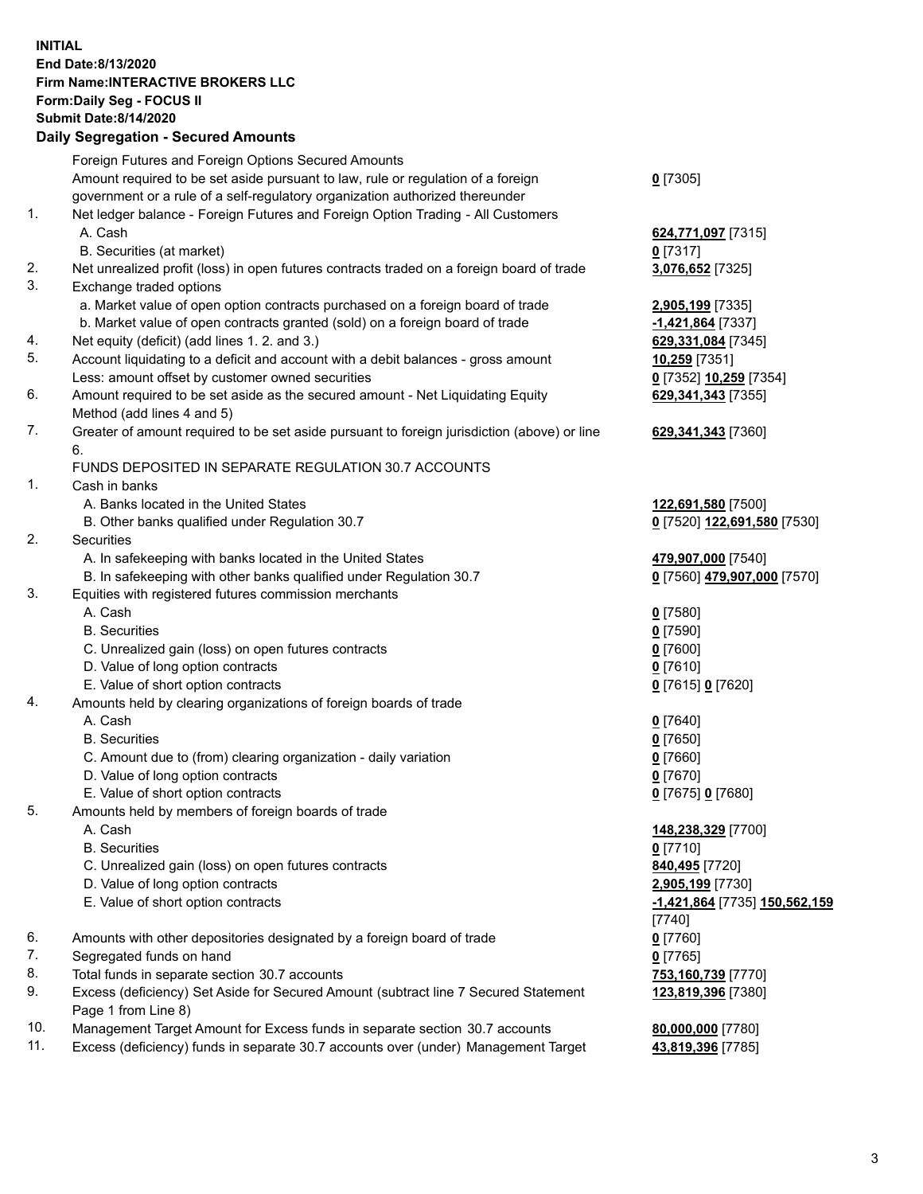## **INITIAL End Date:8/13/2020 Firm Name:INTERACTIVE BROKERS LLC Form:Daily Seg - FOCUS II Submit Date:8/14/2020 Daily Segregation - Secured Amounts**

|     | Daily Segregation - Secured Amounts                                                         |                               |
|-----|---------------------------------------------------------------------------------------------|-------------------------------|
|     | Foreign Futures and Foreign Options Secured Amounts                                         |                               |
|     | Amount required to be set aside pursuant to law, rule or regulation of a foreign            | $0$ [7305]                    |
|     | government or a rule of a self-regulatory organization authorized thereunder                |                               |
| 1.  | Net ledger balance - Foreign Futures and Foreign Option Trading - All Customers             |                               |
|     | A. Cash                                                                                     | 624,771,097 [7315]            |
|     | B. Securities (at market)                                                                   | $0$ [7317]                    |
| 2.  | Net unrealized profit (loss) in open futures contracts traded on a foreign board of trade   | 3,076,652 [7325]              |
| 3.  | Exchange traded options                                                                     |                               |
|     | a. Market value of open option contracts purchased on a foreign board of trade              | 2,905,199 [7335]              |
|     | b. Market value of open contracts granted (sold) on a foreign board of trade                | -1,421,864 [7337]             |
| 4.  | Net equity (deficit) (add lines 1. 2. and 3.)                                               | 629,331,084 [7345]            |
| 5.  | Account liquidating to a deficit and account with a debit balances - gross amount           | 10,259 [7351]                 |
|     | Less: amount offset by customer owned securities                                            | 0 [7352] 10,259 [7354]        |
| 6.  |                                                                                             |                               |
|     | Amount required to be set aside as the secured amount - Net Liquidating Equity              | 629,341,343 [7355]            |
|     | Method (add lines 4 and 5)                                                                  |                               |
| 7.  | Greater of amount required to be set aside pursuant to foreign jurisdiction (above) or line | 629, 341, 343 [7360]          |
|     | 6.                                                                                          |                               |
|     | FUNDS DEPOSITED IN SEPARATE REGULATION 30.7 ACCOUNTS                                        |                               |
| 1.  | Cash in banks                                                                               |                               |
|     | A. Banks located in the United States                                                       | 122,691,580 [7500]            |
|     | B. Other banks qualified under Regulation 30.7                                              | 0 [7520] 122,691,580 [7530]   |
| 2.  | Securities                                                                                  |                               |
|     | A. In safekeeping with banks located in the United States                                   | 479,907,000 [7540]            |
|     | B. In safekeeping with other banks qualified under Regulation 30.7                          | 0 [7560] 479,907,000 [7570]   |
| 3.  | Equities with registered futures commission merchants                                       |                               |
|     | A. Cash                                                                                     | $0$ [7580]                    |
|     | <b>B.</b> Securities                                                                        | $0$ [7590]                    |
|     | C. Unrealized gain (loss) on open futures contracts                                         | $0$ [7600]                    |
|     | D. Value of long option contracts                                                           | $0$ [7610]                    |
|     | E. Value of short option contracts                                                          | 0 [7615] 0 [7620]             |
| 4.  | Amounts held by clearing organizations of foreign boards of trade                           |                               |
|     | A. Cash                                                                                     | $0$ [7640]                    |
|     | <b>B.</b> Securities                                                                        | $0$ [7650]                    |
|     | C. Amount due to (from) clearing organization - daily variation                             | $0$ [7660]                    |
|     | D. Value of long option contracts                                                           | $0$ [7670]                    |
|     | E. Value of short option contracts                                                          | 0 [7675] 0 [7680]             |
| 5.  | Amounts held by members of foreign boards of trade                                          |                               |
|     | A. Cash                                                                                     | 148,238,329 [7700]            |
|     | <b>B.</b> Securities                                                                        | $0$ [7710]                    |
|     | C. Unrealized gain (loss) on open futures contracts                                         | 840,495 [7720]                |
|     | D. Value of long option contracts                                                           | 2,905,199 [7730]              |
|     | E. Value of short option contracts                                                          | -1,421,864 [7735] 150,562,159 |
|     |                                                                                             | $[7740]$                      |
| 6.  | Amounts with other depositories designated by a foreign board of trade                      | $0$ [7760]                    |
| 7.  | Segregated funds on hand                                                                    | $0$ [7765]                    |
| 8.  | Total funds in separate section 30.7 accounts                                               | 753,160,739 [7770]            |
| 9.  | Excess (deficiency) Set Aside for Secured Amount (subtract line 7 Secured Statement         | 123,819,396 [7380]            |
|     | Page 1 from Line 8)                                                                         |                               |
| 10. | Management Target Amount for Excess funds in separate section 30.7 accounts                 | 80,000,000 [7780]             |
| 11. | Excess (deficiency) funds in separate 30.7 accounts over (under) Management Target          |                               |
|     |                                                                                             | 43,819,396 [7785]             |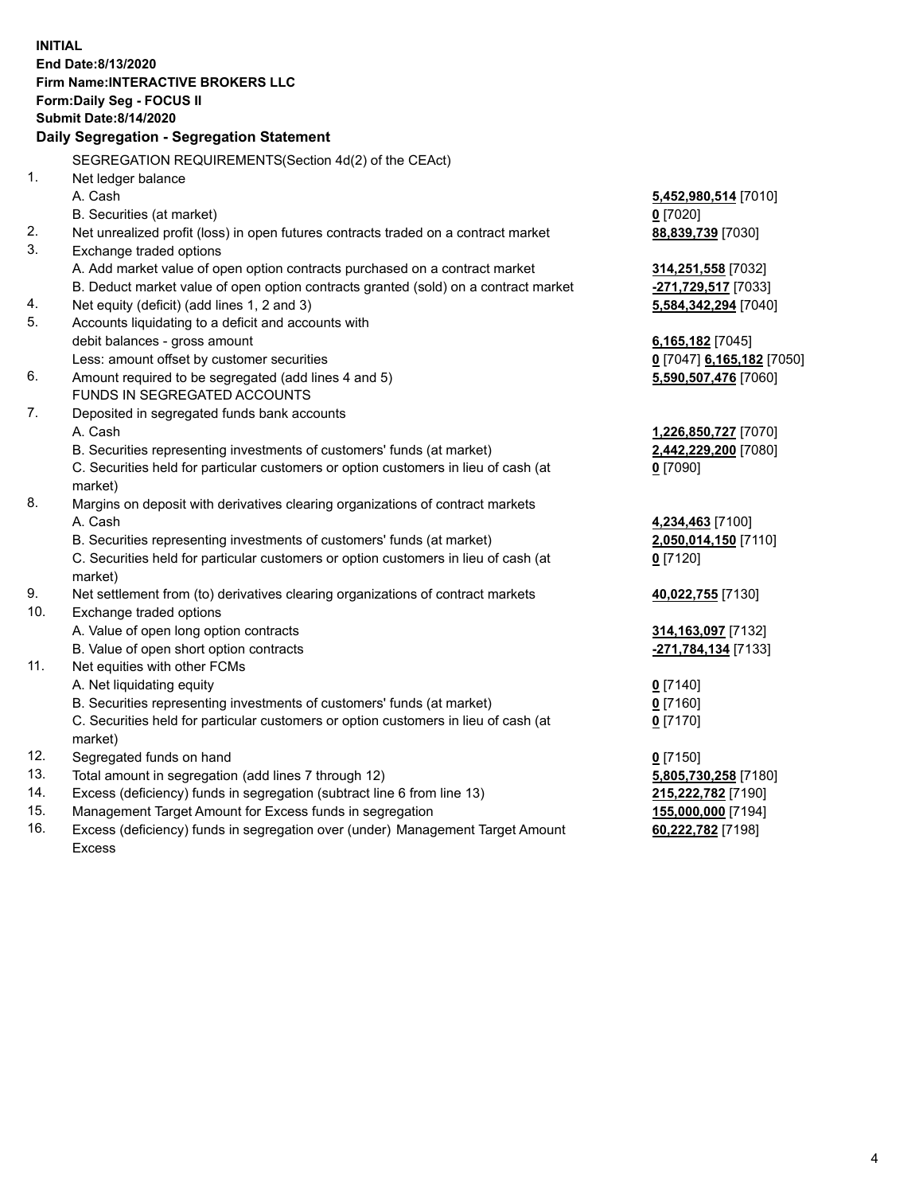**INITIAL End Date:8/13/2020 Firm Name:INTERACTIVE BROKERS LLC Form:Daily Seg - FOCUS II Submit Date:8/14/2020 Daily Segregation - Segregation Statement** SEGREGATION REQUIREMENTS(Section 4d(2) of the CEAct) 1. Net ledger balance A. Cash **5,452,980,514** [7010] B. Securities (at market) **0** [7020] 2. Net unrealized profit (loss) in open futures contracts traded on a contract market **88,839,739** [7030] 3. Exchange traded options A. Add market value of open option contracts purchased on a contract market **314,251,558** [7032] B. Deduct market value of open option contracts granted (sold) on a contract market **-271,729,517** [7033] 4. Net equity (deficit) (add lines 1, 2 and 3) **5,584,342,294** [7040] 5. Accounts liquidating to a deficit and accounts with debit balances - gross amount **6,165,182** [7045] Less: amount offset by customer securities **0** [7047] **6,165,182** [7050] 6. Amount required to be segregated (add lines 4 and 5) **5,590,507,476** [7060] FUNDS IN SEGREGATED ACCOUNTS 7. Deposited in segregated funds bank accounts A. Cash **1,226,850,727** [7070] B. Securities representing investments of customers' funds (at market) **2,442,229,200** [7080] C. Securities held for particular customers or option customers in lieu of cash (at market) **0** [7090] 8. Margins on deposit with derivatives clearing organizations of contract markets A. Cash **4,234,463** [7100] B. Securities representing investments of customers' funds (at market) **2,050,014,150** [7110] C. Securities held for particular customers or option customers in lieu of cash (at market) **0** [7120] 9. Net settlement from (to) derivatives clearing organizations of contract markets **40,022,755** [7130] 10. Exchange traded options A. Value of open long option contracts **314,163,097** [7132] B. Value of open short option contracts **-271,784,134** [7133] 11. Net equities with other FCMs A. Net liquidating equity **0** [7140] B. Securities representing investments of customers' funds (at market) **0** [7160] C. Securities held for particular customers or option customers in lieu of cash (at market) **0** [7170] 12. Segregated funds on hand **0** [7150] 13. Total amount in segregation (add lines 7 through 12) **5,805,730,258** [7180] 14. Excess (deficiency) funds in segregation (subtract line 6 from line 13) **215,222,782** [7190] 15. Management Target Amount for Excess funds in segregation **155,000,000** [7194] 16. Excess (deficiency) funds in segregation over (under) Management Target Amount **60,222,782** [7198]

Excess